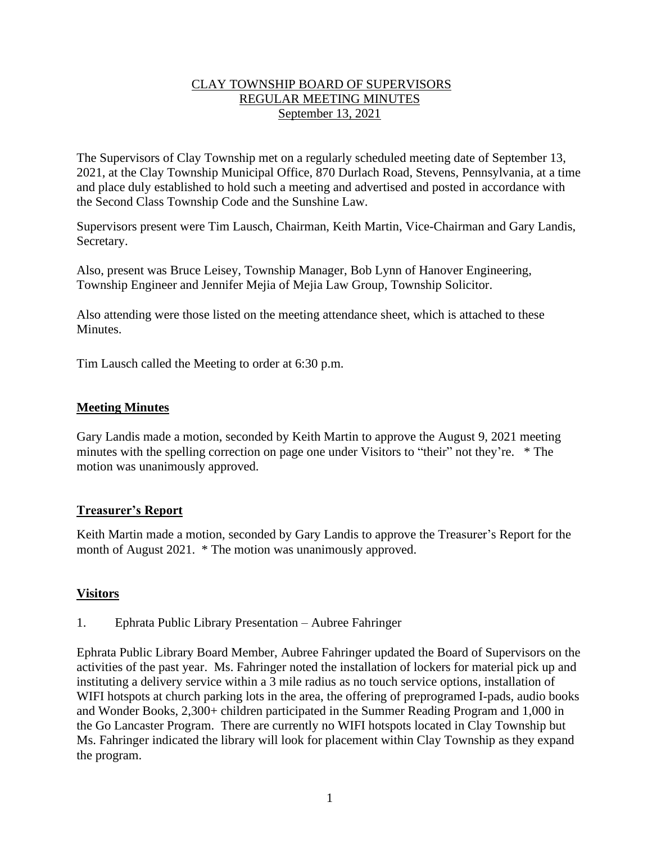## CLAY TOWNSHIP BOARD OF SUPERVISORS REGULAR MEETING MINUTES September 13, 2021

The Supervisors of Clay Township met on a regularly scheduled meeting date of September 13, 2021, at the Clay Township Municipal Office, 870 Durlach Road, Stevens, Pennsylvania, at a time and place duly established to hold such a meeting and advertised and posted in accordance with the Second Class Township Code and the Sunshine Law.

Supervisors present were Tim Lausch, Chairman, Keith Martin, Vice-Chairman and Gary Landis, Secretary.

Also, present was Bruce Leisey, Township Manager, Bob Lynn of Hanover Engineering, Township Engineer and Jennifer Mejia of Mejia Law Group, Township Solicitor.

Also attending were those listed on the meeting attendance sheet, which is attached to these Minutes.

Tim Lausch called the Meeting to order at 6:30 p.m.

## **Meeting Minutes**

Gary Landis made a motion, seconded by Keith Martin to approve the August 9, 2021 meeting minutes with the spelling correction on page one under Visitors to "their" not they're. \* The motion was unanimously approved.

### **Treasurer's Report**

Keith Martin made a motion, seconded by Gary Landis to approve the Treasurer's Report for the month of August 2021. \* The motion was unanimously approved.

### **Visitors**

1. Ephrata Public Library Presentation – Aubree Fahringer

Ephrata Public Library Board Member, Aubree Fahringer updated the Board of Supervisors on the activities of the past year. Ms. Fahringer noted the installation of lockers for material pick up and instituting a delivery service within a 3 mile radius as no touch service options, installation of WIFI hotspots at church parking lots in the area, the offering of preprogramed I-pads, audio books and Wonder Books, 2,300+ children participated in the Summer Reading Program and 1,000 in the Go Lancaster Program. There are currently no WIFI hotspots located in Clay Township but Ms. Fahringer indicated the library will look for placement within Clay Township as they expand the program.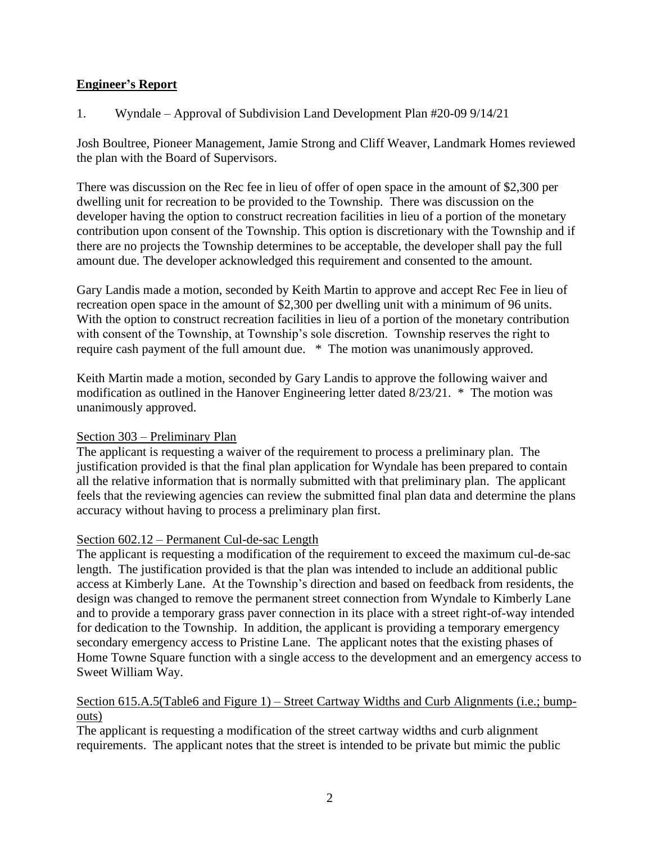# **Engineer's Report**

1. Wyndale – Approval of Subdivision Land Development Plan #20-09 9/14/21

Josh Boultree, Pioneer Management, Jamie Strong and Cliff Weaver, Landmark Homes reviewed the plan with the Board of Supervisors.

There was discussion on the Rec fee in lieu of offer of open space in the amount of \$2,300 per dwelling unit for recreation to be provided to the Township. There was discussion on the developer having the option to construct recreation facilities in lieu of a portion of the monetary contribution upon consent of the Township. This option is discretionary with the Township and if there are no projects the Township determines to be acceptable, the developer shall pay the full amount due. The developer acknowledged this requirement and consented to the amount.

Gary Landis made a motion, seconded by Keith Martin to approve and accept Rec Fee in lieu of recreation open space in the amount of \$2,300 per dwelling unit with a minimum of 96 units. With the option to construct recreation facilities in lieu of a portion of the monetary contribution with consent of the Township, at Township's sole discretion. Township reserves the right to require cash payment of the full amount due. \* The motion was unanimously approved.

Keith Martin made a motion, seconded by Gary Landis to approve the following waiver and modification as outlined in the Hanover Engineering letter dated 8/23/21. \* The motion was unanimously approved.

# Section 303 – Preliminary Plan

The applicant is requesting a waiver of the requirement to process a preliminary plan. The justification provided is that the final plan application for Wyndale has been prepared to contain all the relative information that is normally submitted with that preliminary plan. The applicant feels that the reviewing agencies can review the submitted final plan data and determine the plans accuracy without having to process a preliminary plan first.

# Section 602.12 – Permanent Cul-de-sac Length

The applicant is requesting a modification of the requirement to exceed the maximum cul-de-sac length. The justification provided is that the plan was intended to include an additional public access at Kimberly Lane. At the Township's direction and based on feedback from residents, the design was changed to remove the permanent street connection from Wyndale to Kimberly Lane and to provide a temporary grass paver connection in its place with a street right-of-way intended for dedication to the Township. In addition, the applicant is providing a temporary emergency secondary emergency access to Pristine Lane. The applicant notes that the existing phases of Home Towne Square function with a single access to the development and an emergency access to Sweet William Way.

# Section 615.A.5(Table6 and Figure 1) – Street Cartway Widths and Curb Alignments (i.e.; bumpouts)

The applicant is requesting a modification of the street cartway widths and curb alignment requirements. The applicant notes that the street is intended to be private but mimic the public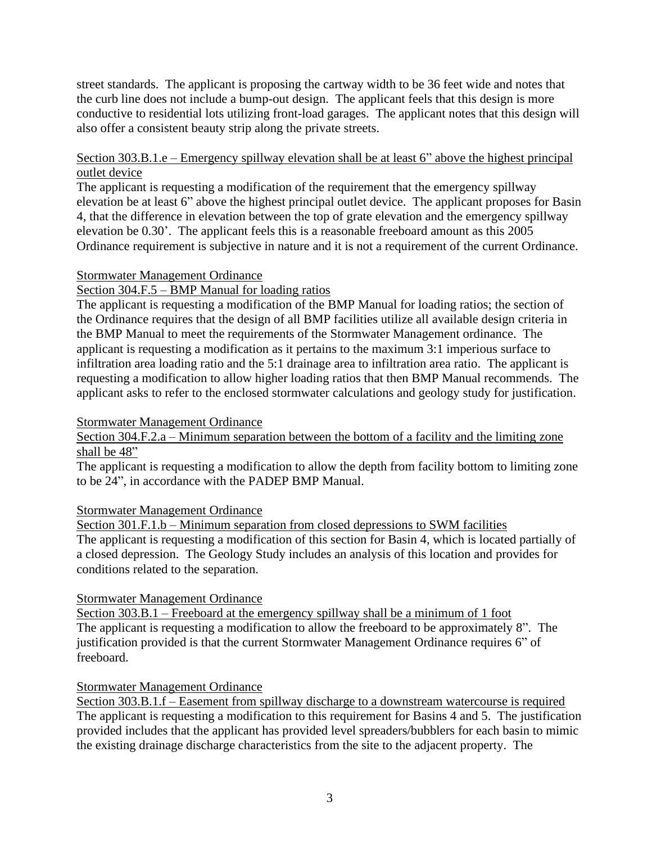street standards. The applicant is proposing the cartway width to be 36 feet wide and notes that the curb line does not include a bump-out design. The applicant feels that this design is more conductive to residential lots utilizing front-load garages. The applicant notes that this design will also offer a consistent beauty strip along the private streets.

# Section 303.B.1.e – Emergency spillway elevation shall be at least 6" above the highest principal outlet device

The applicant is requesting a modification of the requirement that the emergency spillway elevation be at least 6" above the highest principal outlet device. The applicant proposes for Basin 4, that the difference in elevation between the top of grate elevation and the emergency spillway elevation be 0.30'. The applicant feels this is a reasonable freeboard amount as this 2005 Ordinance requirement is subjective in nature and it is not a requirement of the current Ordinance.

### Stormwater Management Ordinance

## Section 304.F.5 – BMP Manual for loading ratios

The applicant is requesting a modification of the BMP Manual for loading ratios; the section of the Ordinance requires that the design of all BMP facilities utilize all available design criteria in the BMP Manual to meet the requirements of the Stormwater Management ordinance. The applicant is requesting a modification as it pertains to the maximum 3:1 imperious surface to infiltration area loading ratio and the 5:1 drainage area to infiltration area ratio. The applicant is requesting a modification to allow higher loading ratios that then BMP Manual recommends. The applicant asks to refer to the enclosed stormwater calculations and geology study for justification.

### Stormwater Management Ordinance

Section 304.F.2.a – Minimum separation between the bottom of a facility and the limiting zone shall be 48"

The applicant is requesting a modification to allow the depth from facility bottom to limiting zone to be 24", in accordance with the PADEP BMP Manual.

### Stormwater Management Ordinance

Section 301.F.1.b – Minimum separation from closed depressions to SWM facilities The applicant is requesting a modification of this section for Basin 4, which is located partially of a closed depression. The Geology Study includes an analysis of this location and provides for

### Stormwater Management Ordinance

conditions related to the separation.

Section 303.B.1 – Freeboard at the emergency spillway shall be a minimum of 1 foot The applicant is requesting a modification to allow the freeboard to be approximately 8". The justification provided is that the current Stormwater Management Ordinance requires 6" of freeboard.

### Stormwater Management Ordinance

Section 303.B.1.f – Easement from spillway discharge to a downstream watercourse is required The applicant is requesting a modification to this requirement for Basins 4 and 5. The justification provided includes that the applicant has provided level spreaders/bubblers for each basin to mimic the existing drainage discharge characteristics from the site to the adjacent property. The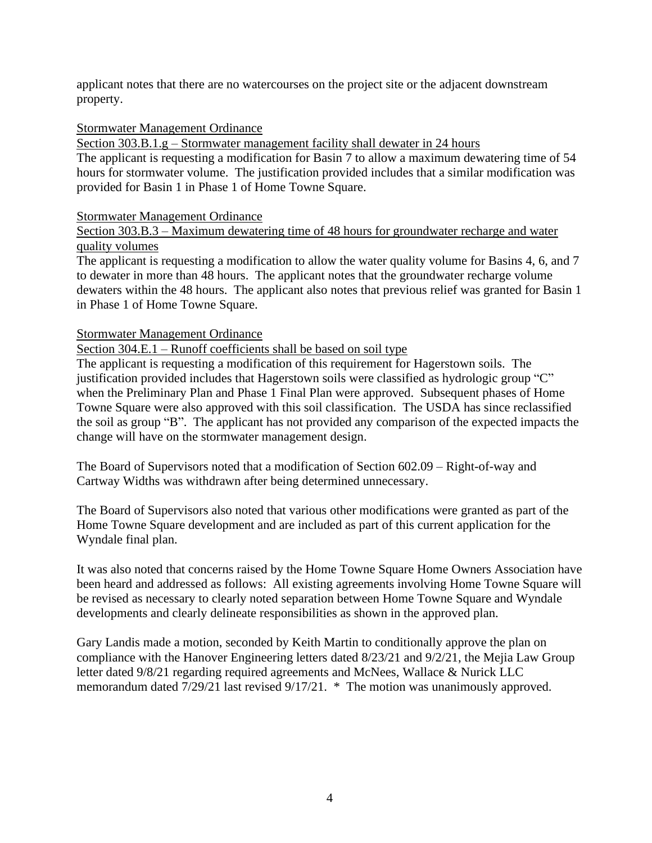applicant notes that there are no watercourses on the project site or the adjacent downstream property.

## Stormwater Management Ordinance

Section 303.B.1.g – Stormwater management facility shall dewater in 24 hours

The applicant is requesting a modification for Basin 7 to allow a maximum dewatering time of 54 hours for stormwater volume. The justification provided includes that a similar modification was provided for Basin 1 in Phase 1 of Home Towne Square.

#### Stormwater Management Ordinance

## Section 303.B.3 – Maximum dewatering time of 48 hours for groundwater recharge and water quality volumes

The applicant is requesting a modification to allow the water quality volume for Basins 4, 6, and 7 to dewater in more than 48 hours. The applicant notes that the groundwater recharge volume dewaters within the 48 hours. The applicant also notes that previous relief was granted for Basin 1 in Phase 1 of Home Towne Square.

### Stormwater Management Ordinance

Section 304.E.1 – Runoff coefficients shall be based on soil type

The applicant is requesting a modification of this requirement for Hagerstown soils. The justification provided includes that Hagerstown soils were classified as hydrologic group "C" when the Preliminary Plan and Phase 1 Final Plan were approved. Subsequent phases of Home Towne Square were also approved with this soil classification. The USDA has since reclassified the soil as group "B". The applicant has not provided any comparison of the expected impacts the change will have on the stormwater management design.

The Board of Supervisors noted that a modification of Section 602.09 – Right-of-way and Cartway Widths was withdrawn after being determined unnecessary.

The Board of Supervisors also noted that various other modifications were granted as part of the Home Towne Square development and are included as part of this current application for the Wyndale final plan.

It was also noted that concerns raised by the Home Towne Square Home Owners Association have been heard and addressed as follows: All existing agreements involving Home Towne Square will be revised as necessary to clearly noted separation between Home Towne Square and Wyndale developments and clearly delineate responsibilities as shown in the approved plan.

Gary Landis made a motion, seconded by Keith Martin to conditionally approve the plan on compliance with the Hanover Engineering letters dated 8/23/21 and 9/2/21, the Mejia Law Group letter dated 9/8/21 regarding required agreements and McNees, Wallace & Nurick LLC memorandum dated 7/29/21 last revised 9/17/21. \* The motion was unanimously approved.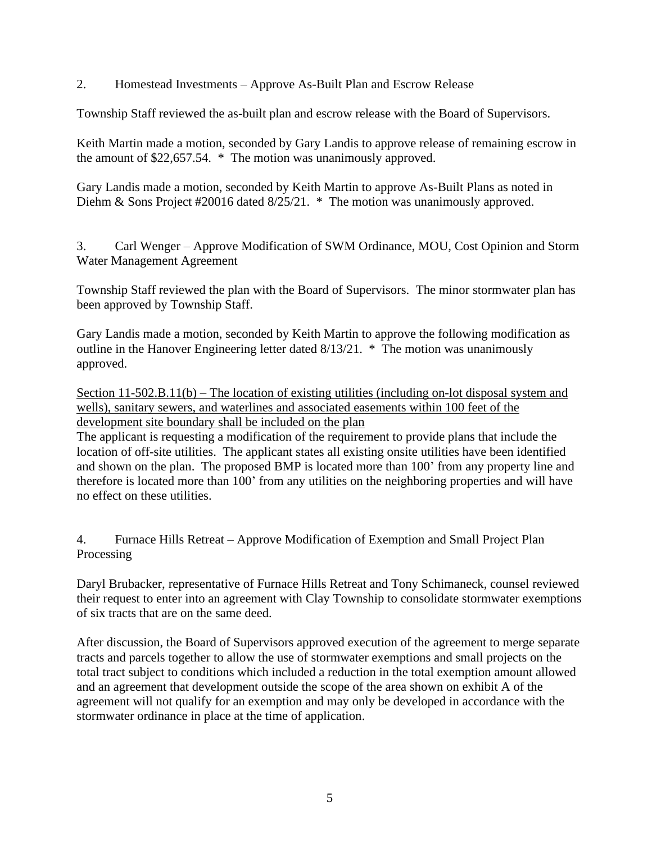2. Homestead Investments – Approve As-Built Plan and Escrow Release

Township Staff reviewed the as-built plan and escrow release with the Board of Supervisors.

Keith Martin made a motion, seconded by Gary Landis to approve release of remaining escrow in the amount of \$22,657.54. \* The motion was unanimously approved.

Gary Landis made a motion, seconded by Keith Martin to approve As-Built Plans as noted in Diehm & Sons Project #20016 dated 8/25/21. \* The motion was unanimously approved.

3. Carl Wenger – Approve Modification of SWM Ordinance, MOU, Cost Opinion and Storm Water Management Agreement

Township Staff reviewed the plan with the Board of Supervisors. The minor stormwater plan has been approved by Township Staff.

Gary Landis made a motion, seconded by Keith Martin to approve the following modification as outline in the Hanover Engineering letter dated 8/13/21. \* The motion was unanimously approved.

Section 11-502.B.11(b) – The location of existing utilities (including on-lot disposal system and wells), sanitary sewers, and waterlines and associated easements within 100 feet of the development site boundary shall be included on the plan

The applicant is requesting a modification of the requirement to provide plans that include the location of off-site utilities. The applicant states all existing onsite utilities have been identified and shown on the plan. The proposed BMP is located more than 100' from any property line and therefore is located more than 100' from any utilities on the neighboring properties and will have no effect on these utilities.

4. Furnace Hills Retreat – Approve Modification of Exemption and Small Project Plan Processing

Daryl Brubacker, representative of Furnace Hills Retreat and Tony Schimaneck, counsel reviewed their request to enter into an agreement with Clay Township to consolidate stormwater exemptions of six tracts that are on the same deed.

After discussion, the Board of Supervisors approved execution of the agreement to merge separate tracts and parcels together to allow the use of stormwater exemptions and small projects on the total tract subject to conditions which included a reduction in the total exemption amount allowed and an agreement that development outside the scope of the area shown on exhibit A of the agreement will not qualify for an exemption and may only be developed in accordance with the stormwater ordinance in place at the time of application.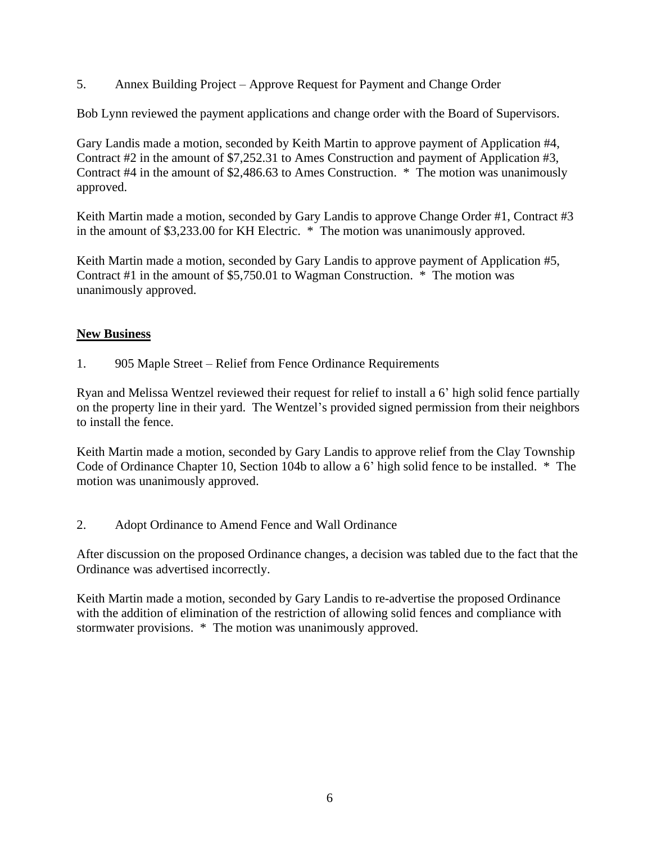5. Annex Building Project – Approve Request for Payment and Change Order

Bob Lynn reviewed the payment applications and change order with the Board of Supervisors.

Gary Landis made a motion, seconded by Keith Martin to approve payment of Application #4, Contract #2 in the amount of \$7,252.31 to Ames Construction and payment of Application #3, Contract #4 in the amount of \$2,486.63 to Ames Construction. \* The motion was unanimously approved.

Keith Martin made a motion, seconded by Gary Landis to approve Change Order #1, Contract #3 in the amount of \$3,233.00 for KH Electric. \* The motion was unanimously approved.

Keith Martin made a motion, seconded by Gary Landis to approve payment of Application #5, Contract #1 in the amount of \$5,750.01 to Wagman Construction. \* The motion was unanimously approved.

# **New Business**

1. 905 Maple Street – Relief from Fence Ordinance Requirements

Ryan and Melissa Wentzel reviewed their request for relief to install a 6' high solid fence partially on the property line in their yard. The Wentzel's provided signed permission from their neighbors to install the fence.

Keith Martin made a motion, seconded by Gary Landis to approve relief from the Clay Township Code of Ordinance Chapter 10, Section 104b to allow a 6' high solid fence to be installed. \* The motion was unanimously approved.

2. Adopt Ordinance to Amend Fence and Wall Ordinance

After discussion on the proposed Ordinance changes, a decision was tabled due to the fact that the Ordinance was advertised incorrectly.

Keith Martin made a motion, seconded by Gary Landis to re-advertise the proposed Ordinance with the addition of elimination of the restriction of allowing solid fences and compliance with stormwater provisions. \* The motion was unanimously approved.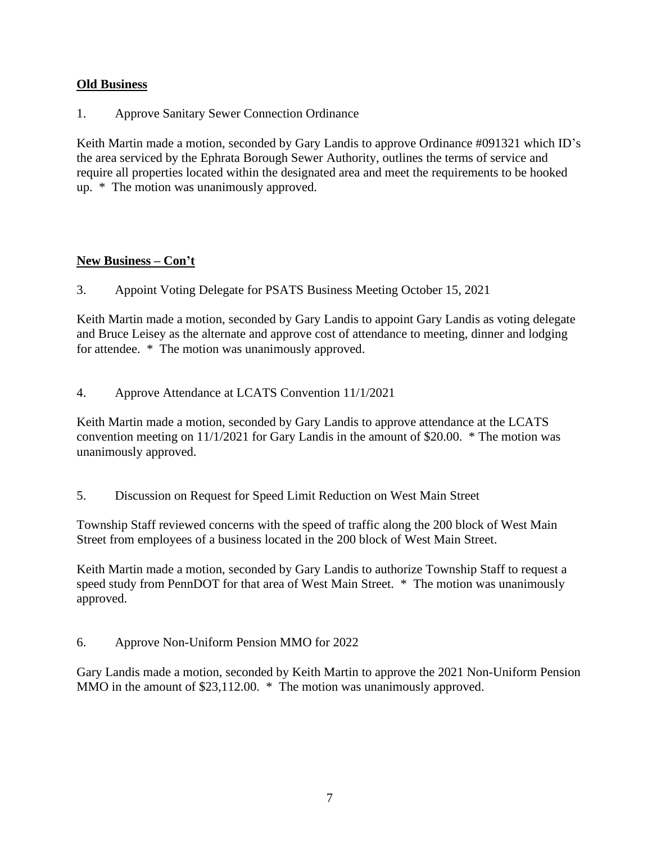# **Old Business**

1. Approve Sanitary Sewer Connection Ordinance

Keith Martin made a motion, seconded by Gary Landis to approve Ordinance #091321 which ID's the area serviced by the Ephrata Borough Sewer Authority, outlines the terms of service and require all properties located within the designated area and meet the requirements to be hooked up. \* The motion was unanimously approved.

# **New Business – Con't**

3. Appoint Voting Delegate for PSATS Business Meeting October 15, 2021

Keith Martin made a motion, seconded by Gary Landis to appoint Gary Landis as voting delegate and Bruce Leisey as the alternate and approve cost of attendance to meeting, dinner and lodging for attendee. \* The motion was unanimously approved.

4. Approve Attendance at LCATS Convention 11/1/2021

Keith Martin made a motion, seconded by Gary Landis to approve attendance at the LCATS convention meeting on 11/1/2021 for Gary Landis in the amount of \$20.00. \* The motion was unanimously approved.

5. Discussion on Request for Speed Limit Reduction on West Main Street

Township Staff reviewed concerns with the speed of traffic along the 200 block of West Main Street from employees of a business located in the 200 block of West Main Street.

Keith Martin made a motion, seconded by Gary Landis to authorize Township Staff to request a speed study from PennDOT for that area of West Main Street. \* The motion was unanimously approved.

6. Approve Non-Uniform Pension MMO for 2022

Gary Landis made a motion, seconded by Keith Martin to approve the 2021 Non-Uniform Pension MMO in the amount of \$23,112.00. \* The motion was unanimously approved.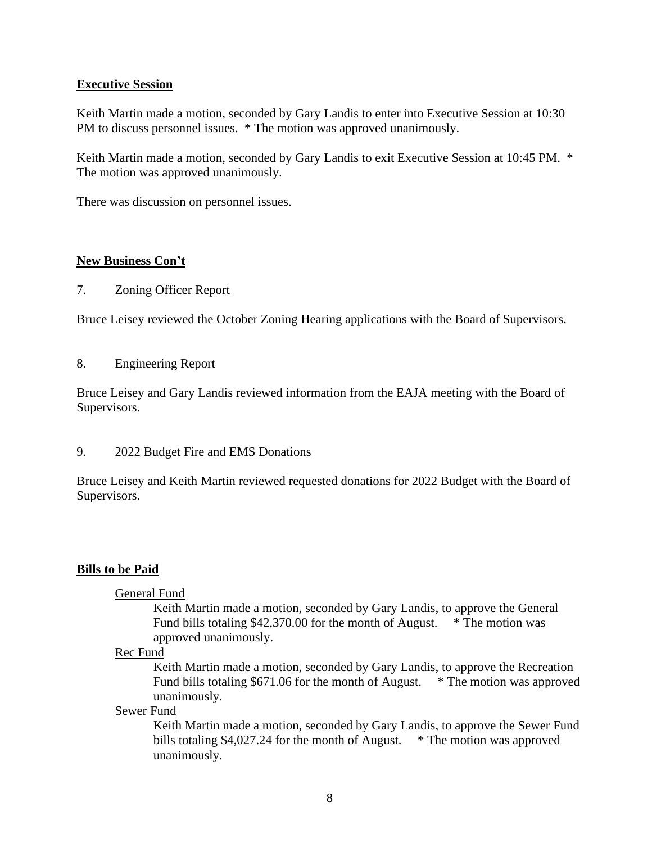## **Executive Session**

Keith Martin made a motion, seconded by Gary Landis to enter into Executive Session at 10:30 PM to discuss personnel issues. \* The motion was approved unanimously.

Keith Martin made a motion, seconded by Gary Landis to exit Executive Session at 10:45 PM. \* The motion was approved unanimously.

There was discussion on personnel issues.

## **New Business Con't**

7. Zoning Officer Report

Bruce Leisey reviewed the October Zoning Hearing applications with the Board of Supervisors.

#### 8. Engineering Report

Bruce Leisey and Gary Landis reviewed information from the EAJA meeting with the Board of Supervisors.

9. 2022 Budget Fire and EMS Donations

Bruce Leisey and Keith Martin reviewed requested donations for 2022 Budget with the Board of Supervisors.

### **Bills to be Paid**

### General Fund

Keith Martin made a motion, seconded by Gary Landis, to approve the General Fund bills totaling \$42,370.00 for the month of August. \* The motion was approved unanimously.

#### Rec Fund

Keith Martin made a motion, seconded by Gary Landis, to approve the Recreation Fund bills totaling \$671.06 for the month of August. \* The motion was approved unanimously.

#### Sewer Fund

Keith Martin made a motion, seconded by Gary Landis, to approve the Sewer Fund bills totaling \$4,027.24 for the month of August. \* The motion was approved unanimously.